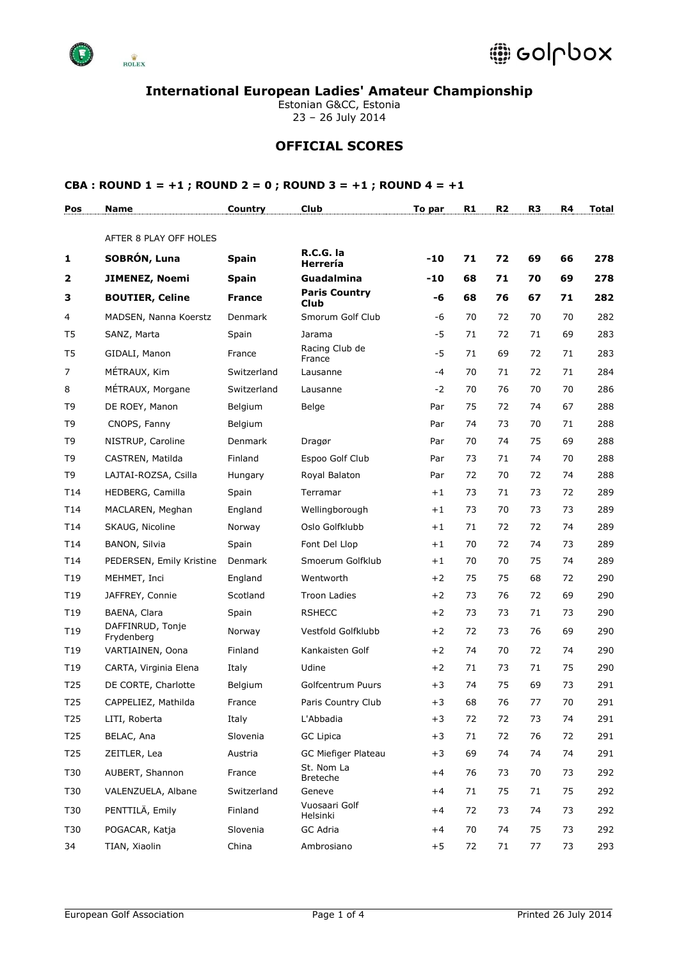

Estonian G&CC, Estonia 23 – 26 July 2014

### **OFFICIAL SCORES**

| Pos             | <b>Name</b>                    | Country       | <b>Club</b>                         | To par | R <sub>1</sub> | R <sub>2</sub> | R <sub>3</sub> | R4 | Total |
|-----------------|--------------------------------|---------------|-------------------------------------|--------|----------------|----------------|----------------|----|-------|
|                 | AFTER 8 PLAY OFF HOLES         |               |                                     |        |                |                |                |    |       |
| 1               | SOBRÓN, Luna                   | <b>Spain</b>  | R.C.G. la<br>Herrería               | $-10$  | 71             | 72             | 69             | 66 | 278   |
| $\mathbf{2}$    | <b>JIMENEZ, Noemi</b>          | <b>Spain</b>  | <b>Guadalmina</b>                   | $-10$  | 68             | 71             | 70             | 69 | 278   |
| З               | <b>BOUTIER, Celine</b>         | <b>France</b> | <b>Paris Country</b><br><b>Club</b> | -6     | 68             | 76             | 67             | 71 | 282   |
| 4               | MADSEN, Nanna Koerstz          | Denmark       | Smorum Golf Club                    | -6     | 70             | 72             | 70             | 70 | 282   |
| T <sub>5</sub>  | SANZ, Marta                    | Spain         | Jarama                              | $-5$   | 71             | 72             | 71             | 69 | 283   |
| T5              | GIDALI, Manon                  | France        | Racing Club de<br>France            | $-5$   | 71             | 69             | 72             | 71 | 283   |
| $\overline{7}$  | MÉTRAUX, Kim                   | Switzerland   | Lausanne                            | $-4$   | 70             | 71             | 72             | 71 | 284   |
| 8               | MÉTRAUX, Morgane               | Switzerland   | Lausanne                            | -2     | 70             | 76             | 70             | 70 | 286   |
| T9              | DE ROEY, Manon                 | Belgium       | Belge                               | Par    | 75             | 72             | 74             | 67 | 288   |
| T <sub>9</sub>  | CNOPS, Fanny                   | Belgium       |                                     | Par    | 74             | 73             | 70             | 71 | 288   |
| T <sub>9</sub>  | NISTRUP, Caroline              | Denmark       | Dragør                              | Par    | 70             | 74             | 75             | 69 | 288   |
| T9              | CASTREN, Matilda               | Finland       | Espoo Golf Club                     | Par    | 73             | 71             | 74             | 70 | 288   |
| T <sub>9</sub>  | LAJTAI-ROZSA, Csilla           | Hungary       | Royal Balaton                       | Par    | 72             | 70             | 72             | 74 | 288   |
| T14             | HEDBERG, Camilla               | Spain         | Terramar                            | $+1$   | 73             | 71             | 73             | 72 | 289   |
| T14             | MACLAREN, Meghan               | England       | Wellingborough                      | $+1$   | 73             | 70             | 73             | 73 | 289   |
| T14             | SKAUG, Nicoline                | Norway        | Oslo Golfklubb                      | $+1$   | 71             | 72             | 72             | 74 | 289   |
| T14             | <b>BANON, Silvia</b>           | Spain         | Font Del Llop                       | $+1$   | 70             | 72             | 74             | 73 | 289   |
| T14             | PEDERSEN, Emily Kristine       | Denmark       | Smoerum Golfklub                    | $+1$   | 70             | 70             | 75             | 74 | 289   |
| T <sub>19</sub> | MEHMET, Inci                   | England       | Wentworth                           | $+2$   | 75             | 75             | 68             | 72 | 290   |
| T <sub>19</sub> | JAFFREY, Connie                | Scotland      | <b>Troon Ladies</b>                 | $+2$   | 73             | 76             | 72             | 69 | 290   |
| T <sub>19</sub> | BAENA, Clara                   | Spain         | <b>RSHECC</b>                       | $+2$   | 73             | 73             | 71             | 73 | 290   |
| T <sub>19</sub> | DAFFINRUD, Tonje<br>Frydenberg | Norway        | Vestfold Golfklubb                  | $+2$   | 72             | 73             | 76             | 69 | 290   |
| T <sub>19</sub> | VARTIAINEN, Oona               | Finland       | Kankaisten Golf                     | $+2$   | 74             | 70             | 72             | 74 | 290   |
| T <sub>19</sub> | CARTA, Virginia Elena          | Italy         | Udine                               | $+2$   | 71             | 73             | 71             | 75 | 290   |
| T <sub>25</sub> | DE CORTE, Charlotte            | Belgium       | <b>Golfcentrum Puurs</b>            | $+3$   | 74             | 75             | 69             | 73 | 291   |
| T <sub>25</sub> | CAPPELIEZ, Mathilda            | France        | Paris Country Club                  | $+3$   | 68             | 76             | 77             | 70 | 291   |
| T25             | LITI, Roberta                  | Italy         | L'Abbadia                           | $+3$   | $72\,$         | 72             | 73             | 74 | 291   |
| T25             | BELAC, Ana                     | Slovenia      | <b>GC Lipica</b>                    | $+3$   | 71             | 72             | 76             | 72 | 291   |
| T <sub>25</sub> | ZEITLER, Lea                   | Austria       | GC Miefiger Plateau                 | $+3$   | 69             | 74             | 74             | 74 | 291   |
| T30             | AUBERT, Shannon                | France        | St. Nom La<br><b>Breteche</b>       | $+4$   | 76             | 73             | 70             | 73 | 292   |
| T30             | VALENZUELA, Albane             | Switzerland   | Geneve                              | $+4$   | 71             | 75             | 71             | 75 | 292   |
| T30             | PENTTILÄ, Emily                | Finland       | Vuosaari Golf<br>Helsinki           | $+4$   | 72             | 73             | 74             | 73 | 292   |
| T30             | POGACAR, Katja                 | Slovenia      | GC Adria                            | $+4$   | 70             | 74             | 75             | 73 | 292   |
| 34              | TIAN, Xiaolin                  | China         | Ambrosiano                          | $+5$   | 72             | 71             | 77             | 73 | 293   |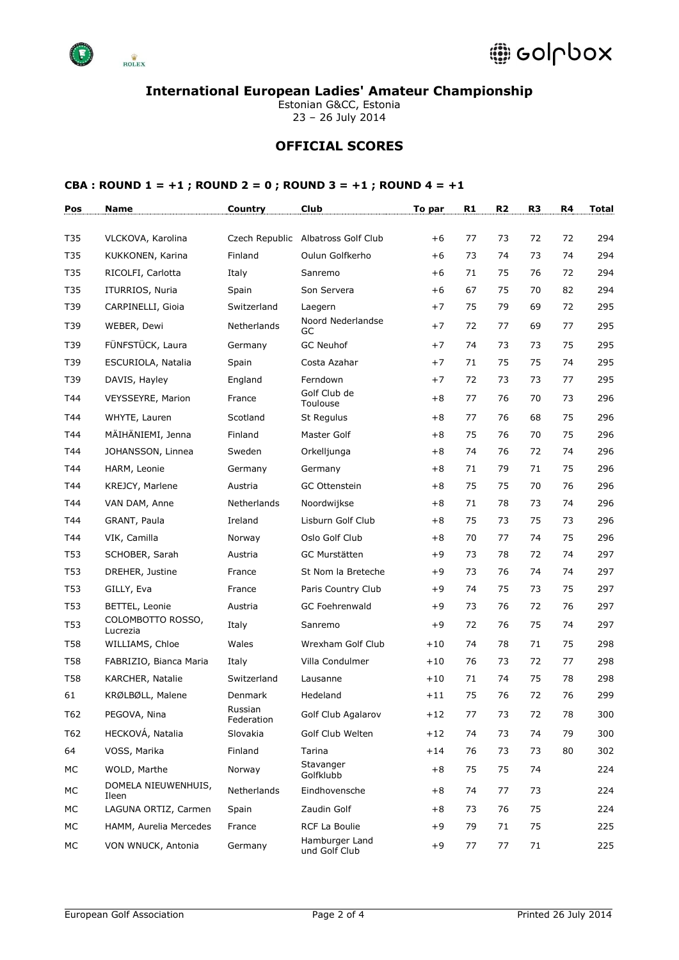

Estonian G&CC, Estonia 23 – 26 July 2014

# **OFFICIAL SCORES**

| Pos        | Name                          | Country               | Club                               | To par | R1 | R <sub>2</sub> | R <sub>3</sub> | R4 | <b>Total</b> |
|------------|-------------------------------|-----------------------|------------------------------------|--------|----|----------------|----------------|----|--------------|
|            |                               |                       |                                    |        |    |                |                |    |              |
| T35        | VLCKOVA, Karolina             |                       | Czech Republic Albatross Golf Club | $+6$   | 77 | 73             | 72             | 72 | 294          |
| T35        | KUKKONEN, Karina              | Finland               | Oulun Golfkerho                    | $+6$   | 73 | 74             | 73             | 74 | 294          |
| T35        | RICOLFI, Carlotta             | Italy                 | Sanremo                            | $+6$   | 71 | 75             | 76             | 72 | 294          |
| T35        | ITURRIOS, Nuria               | Spain                 | Son Servera                        | $+6$   | 67 | 75             | 70             | 82 | 294          |
| T39        | CARPINELLI, Gioia             | Switzerland           | Laegern                            | $+7$   | 75 | 79             | 69             | 72 | 295          |
| T39        | WEBER, Dewi                   | Netherlands           | Noord Nederlandse<br>GC            | $+7$   | 72 | 77             | 69             | 77 | 295          |
| T39        | FÜNFSTÜCK, Laura              | Germany               | <b>GC Neuhof</b>                   | $+7$   | 74 | 73             | 73             | 75 | 295          |
| T39        | ESCURIOLA, Natalia            | Spain                 | Costa Azahar                       | $+7$   | 71 | 75             | 75             | 74 | 295          |
| T39        | DAVIS, Hayley                 | England               | Ferndown                           | $+7$   | 72 | 73             | 73             | 77 | 295          |
| T44        | VEYSSEYRE, Marion             | France                | Golf Club de<br>Toulouse           | $+8$   | 77 | 76             | 70             | 73 | 296          |
| T44        | WHYTE, Lauren                 | Scotland              | St Regulus                         | $+8$   | 77 | 76             | 68             | 75 | 296          |
| T44        | MÄIHÄNIEMI, Jenna             | Finland               | Master Golf                        | $+8$   | 75 | 76             | 70             | 75 | 296          |
| T44        | JOHANSSON, Linnea             | Sweden                | Orkelljunga                        | $+8$   | 74 | 76             | 72             | 74 | 296          |
| T44        | HARM, Leonie                  | Germany               | Germany                            | $+8$   | 71 | 79             | 71             | 75 | 296          |
| T44        | KREJCY, Marlene               | Austria               | <b>GC Ottenstein</b>               | $+8$   | 75 | 75             | 70             | 76 | 296          |
| T44        | VAN DAM, Anne                 | Netherlands           | Noordwijkse                        | $+8$   | 71 | 78             | 73             | 74 | 296          |
| T44        | GRANT, Paula                  | Ireland               | Lisburn Golf Club                  | $+8$   | 75 | 73             | 75             | 73 | 296          |
| T44        | VIK, Camilla                  | Norway                | Oslo Golf Club                     | $+8$   | 70 | 77             | 74             | 75 | 296          |
| <b>T53</b> | SCHOBER, Sarah                | Austria               | GC Murstätten                      | $+9$   | 73 | 78             | 72             | 74 | 297          |
| T53        | DREHER, Justine               | France                | St Nom la Breteche                 | $+9$   | 73 | 76             | 74             | 74 | 297          |
| T53        | GILLY, Eva                    | France                | Paris Country Club                 | $+9$   | 74 | 75             | 73             | 75 | 297          |
| T53        | BETTEL, Leonie                | Austria               | <b>GC Foehrenwald</b>              | $+9$   | 73 | 76             | 72             | 76 | 297          |
| T53        | COLOMBOTTO ROSSO,<br>Lucrezia | Italy                 | Sanremo                            | $+9$   | 72 | 76             | 75             | 74 | 297          |
| <b>T58</b> | WILLIAMS, Chloe               | Wales                 | Wrexham Golf Club                  | $+10$  | 74 | 78             | 71             | 75 | 298          |
| <b>T58</b> | FABRIZIO, Bianca Maria        | Italy                 | Villa Condulmer                    | $+10$  | 76 | 73             | 72             | 77 | 298          |
| <b>T58</b> | KARCHER, Natalie              | Switzerland           | Lausanne                           | $+10$  | 71 | 74             | 75             | 78 | 298          |
| 61         | KRØLBØLL, Malene              | Denmark               | Hedeland                           | $+11$  | 75 | 76             | 72             | 76 | 299          |
| T62        | PEGOVA, Nina                  | Russian<br>Federation | Golf Club Agalarov                 | $+12$  | 77 | 73             | 72             | 78 | 300          |
| T62        | HECKOVÁ, Natalia              | Slovakia              | Golf Club Welten                   | $+12$  | 74 | 73             | 74             | 79 | 300          |
| 64         | VOSS, Marika                  | Finland               | Tarina                             | $+14$  | 76 | 73             | 73             | 80 | 302          |
| МC         | WOLD, Marthe                  | Norway                | Stavanger<br>Golfklubb             | $+8$   | 75 | 75             | 74             |    | 224          |
| МC         | DOMELA NIEUWENHUIS,<br>Ileen  | Netherlands           | Eindhovensche                      | $+8$   | 74 | 77             | 73             |    | 224          |
| МC         | LAGUNA ORTIZ, Carmen          | Spain                 | Zaudin Golf                        | $+8$   | 73 | 76             | 75             |    | 224          |
| МC         | HAMM, Aurelia Mercedes        | France                | RCF La Boulie                      | $+9$   | 79 | 71             | 75             |    | 225          |
| МC         | VON WNUCK, Antonia            | Germany               | Hamburger Land<br>und Golf Club    | $+9$   | 77 | 77             | 71             |    | 225          |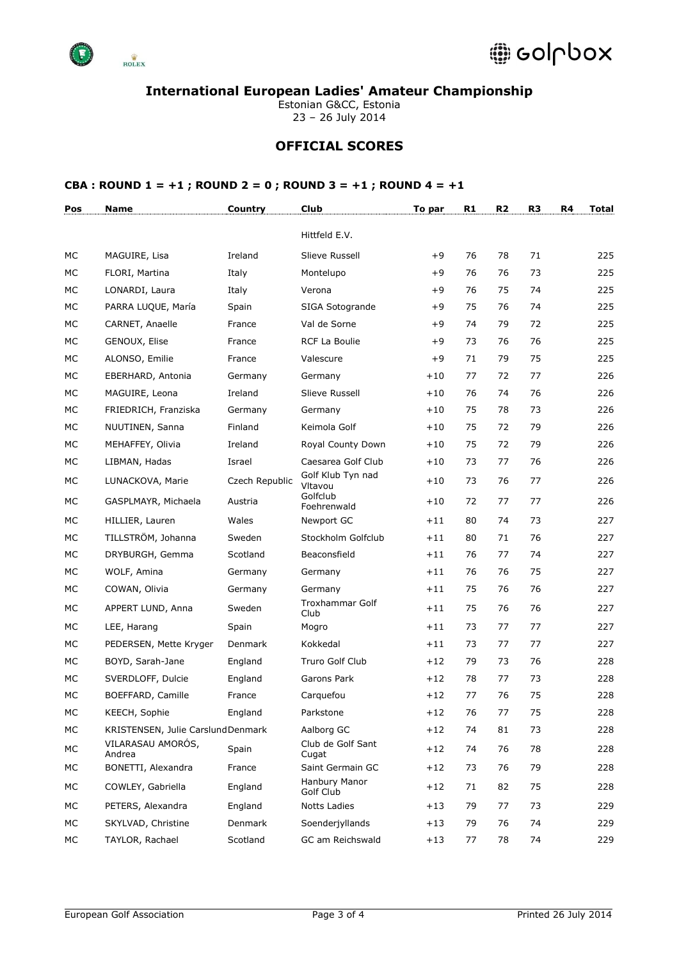

Estonian G&CC, Estonia 23 – 26 July 2014

# **OFFICIAL SCORES**

| Pos | Name                               | Country        | Club                         | To par | R <sub>1</sub> | R <sub>2</sub> | R <sub>3</sub> | R4 | Total |
|-----|------------------------------------|----------------|------------------------------|--------|----------------|----------------|----------------|----|-------|
|     |                                    |                | Hittfeld E.V.                |        |                |                |                |    |       |
| МC  | MAGUIRE, Lisa                      | Ireland        | Slieve Russell               | $+9$   | 76             | 78             | 71             |    | 225   |
| МC  | FLORI, Martina                     | Italy          | Montelupo                    | $+9$   | 76             | 76             | 73             |    | 225   |
| МC  | LONARDI, Laura                     | Italy          | Verona                       | $+9$   | 76             | 75             | 74             |    | 225   |
| МC  | PARRA LUQUE, María                 | Spain          | SIGA Sotogrande              | $+9$   | 75             | 76             | 74             |    | 225   |
| МC  | CARNET, Anaelle                    | France         | Val de Sorne                 | $+9$   | 74             | 79             | 72             |    | 225   |
| МC  | GENOUX, Elise                      | France         | RCF La Boulie                | $+9$   | 73             | 76             | 76             |    | 225   |
| МC  | ALONSO, Emilie                     | France         | Valescure                    | $+9$   | 71             | 79             | 75             |    | 225   |
| МC  | EBERHARD, Antonia                  | Germany        | Germany                      | $+10$  | 77             | 72             | 77             |    | 226   |
| МC  | MAGUIRE, Leona                     | Ireland        | Slieve Russell               | $+10$  | 76             | 74             | 76             |    | 226   |
| МC  | FRIEDRICH, Franziska               | Germany        | Germany                      | $+10$  | 75             | 78             | 73             |    | 226   |
| МC  | NUUTINEN, Sanna                    | Finland        | Keimola Golf                 | $+10$  | 75             | 72             | 79             |    | 226   |
| МC  | MEHAFFEY, Olivia                   | Ireland        | Royal County Down            | $+10$  | 75             | 72             | 79             |    | 226   |
| МC  | LIBMAN, Hadas                      | Israel         | Caesarea Golf Club           | $+10$  | 73             | 77             | 76             |    | 226   |
| МC  | LUNACKOVA, Marie                   | Czech Republic | Golf Klub Tyn nad<br>Vltavou | $+10$  | 73             | 76             | 77             |    | 226   |
| МC  | GASPLMAYR, Michaela                | Austria        | Golfclub<br>Foehrenwald      | $+10$  | 72             | 77             | 77             |    | 226   |
| МC  | HILLIER, Lauren                    | Wales          | Newport GC                   | $+11$  | 80             | 74             | 73             |    | 227   |
| МC  | TILLSTRÖM, Johanna                 | Sweden         | Stockholm Golfclub           | $+11$  | 80             | 71             | 76             |    | 227   |
| МC  | DRYBURGH, Gemma                    | Scotland       | Beaconsfield                 | $+11$  | 76             | 77             | 74             |    | 227   |
| МC  | WOLF, Amina                        | Germany        | Germany                      | $+11$  | 76             | 76             | 75             |    | 227   |
| МC  | COWAN, Olivia                      | Germany        | Germany                      | $+11$  | 75             | 76             | 76             |    | 227   |
| МC  | APPERT LUND, Anna                  | Sweden         | Troxhammar Golf<br>Club      | $+11$  | 75             | 76             | 76             |    | 227   |
| МC  | LEE, Harang                        | Spain          | Mogro                        | $+11$  | 73             | 77             | 77             |    | 227   |
| МC  | PEDERSEN, Mette Kryger             | Denmark        | Kokkedal                     | $+11$  | 73             | 77             | 77             |    | 227   |
| МC  | BOYD, Sarah-Jane                   | England        | Truro Golf Club              | $+12$  | 79             | 73             | 76             |    | 228   |
| MC  | SVERDLOFF, Dulcie                  | England        | Garons Park                  | $+12$  | 78             | 77             | 73             |    | 228   |
| МC  | BOEFFARD, Camille                  | France         | Carguefou                    | $+12$  | 77             | 76             | 75             |    | 228   |
| MC  | KEECH, Sophie                      | England        | Parkstone                    | $+12$  | 76             | 77             | 75             |    | 228   |
| МC  | KRISTENSEN, Julie Carslund Denmark |                | Aalborg GC                   | $+12$  | 74             | 81             | 73             |    | 228   |
| МC  | VILARASAU AMORÓS,<br>Andrea        | Spain          | Club de Golf Sant<br>Cugat   | $+12$  | 74             | 76             | 78             |    | 228   |
| МC  | BONETTI, Alexandra                 | France         | Saint Germain GC             | $+12$  | 73             | 76             | 79             |    | 228   |
| МC  | COWLEY, Gabriella                  | England        | Hanbury Manor<br>Golf Club   | $+12$  | 71             | 82             | 75             |    | 228   |
| МC  | PETERS, Alexandra                  | England        | <b>Notts Ladies</b>          | $+13$  | 79             | 77             | 73             |    | 229   |
| МC  | SKYLVAD, Christine                 | Denmark        | Soenderjyllands              | $+13$  | 79             | 76             | 74             |    | 229   |
| МC  | TAYLOR, Rachael                    | Scotland       | GC am Reichswald             | $+13$  | 77             | 78             | 74             |    | 229   |